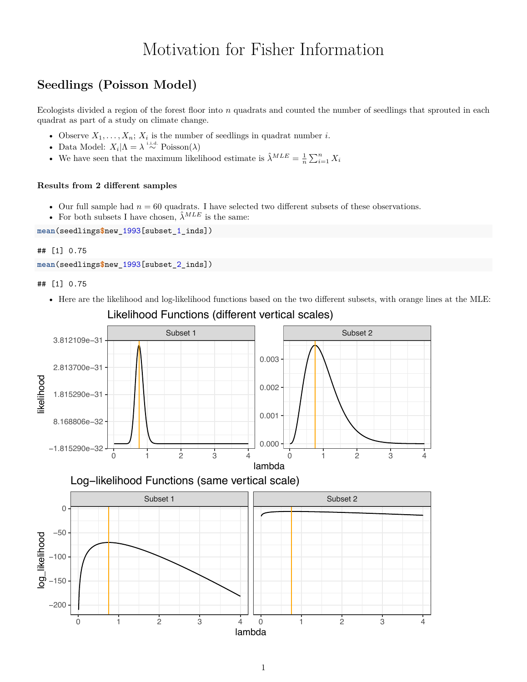# Motivation for Fisher Information

## **Seedlings (Poisson Model)**

Ecologists divided a region of the forest floor into *n* quadrats and counted the number of seedlings that sprouted in each quadrat as part of a study on climate change.

- Observe  $X_1, \ldots, X_n$ ;  $X_i$  is the number of seedlings in quadrat number *i*.
- Data Model:  $X_i | \Lambda = \lambda \stackrel{\text{i.i.d.}}{\sim} \text{Poisson}(\lambda)$
- We have seen that the maximum likelihood estimate is  $\hat{\lambda}^{MLE} = \frac{1}{n} \sum_{i=1}^{n} X_i$

### **Results from 2 different samples**

- Our full sample had  $n = 60$  quadrats. I have selected two different subsets of these observations.
- For both subsets I have chosen,  $\hat{\lambda}^{MLE}$  is the same:

**mean**(seedlings**\$**new\_1993[subset\_1\_inds])

#### ## [1] 0.75

```
mean(seedlings$new_1993[subset_2_inds])
```
## [1] 0.75

• Here are the likelihood and log-likelihood functions based on the two different subsets, with orange lines at the MLE:



Likelihood Functions (different vertical scales)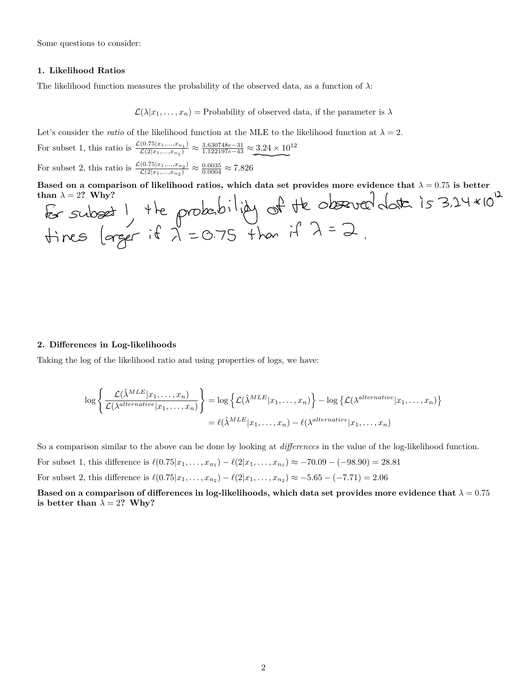Some questions to consider:

#### **1. Likelihood Ratios**

The likelihood function measures the probability of the observed data, as a function of  $\lambda$ :

 $\mathcal{L}(\lambda|x_1,\ldots,x_n)$  = Probability of observed data, if the parameter is  $\lambda$ 

Let's consider the *ratio* of the likelihood function at the MLE to the likelihood function at  $\lambda = 2$ .

For subset 1, this ratio is  $\frac{\mathcal{L}(0.75|x_1,...,x_{n_1})}{\mathcal{L}(2|x_1,...,x_{n_1})} \approx \frac{3.630748e-31}{1.122197e-43} \approx 3.24 \times 10^{12}$ 

For subset 2, this ratio is  $\frac{\mathcal{L}(0.75|x_1,...,x_{n_2})}{\mathcal{L}(2|x_1,...,x_{n_2})} \approx \frac{0.0035}{0.0004} \approx 7.826$ 

**Based on a comparison of likelihood ratios, which data set provides more evidence that**  $\lambda = 0.75$  **is better<br>than**  $\lambda = 2$ **? Why?<br>** $\int_{\alpha}$  $\int_{\alpha}$  $\int_{\alpha}$  $\int_{\alpha}$  $\int_{\alpha}$  $\int_{\alpha}$  $\int_{\alpha}$  $\int_{\alpha}$  $\int_{\alpha}$  $\int_{\alpha}$  **\int** than  $\lambda = 2$ ? Why?  $\overline{\smash{\bigcap}}$ 

#### **2. Dierences in Log-likelihoods**

Taking the log of the likelihood ratio and using properties of logs, we have:

$$
\log \left\{ \frac{\mathcal{L}(\hat{\lambda}^{MLE}|x_1,\ldots,x_n)}{\mathcal{L}(\lambda^{alternative}|x_1,\ldots,x_n)} \right\} = \log \left\{ \mathcal{L}(\hat{\lambda}^{MLE}|x_1,\ldots,x_n) \right\} - \log \left\{ \mathcal{L}(\lambda^{alternative}|x_1,\ldots,x_n) \right\}
$$

$$
= \ell(\hat{\lambda}^{MLE}|x_1,\ldots,x_n) - \ell(\lambda^{alternative}|x_1,\ldots,x_n)
$$

So a comparison similar to the above can be done by looking at *differences* in the value of the log-likelihood function.

For subset 1, this difference is  $\ell(0.75|x_1,\ldots,x_{n_1}) - \ell(2|x_1,\ldots,x_{n_1}) \approx -70.09 - (-98.90) = 28.81$ 

For subset 2, this difference is  $\ell(0.75|x_1,\ldots,x_{n_2}) - \ell(2|x_1,\ldots,x_{n_2}) \approx -5.65 - (-7.71) = 2.06$ 

**Based on a comparison of differences in log-likelihoods, which data set provides more evidence that**  $\lambda = 0.75$ **is better than**  $\lambda = 2$ ? Why?